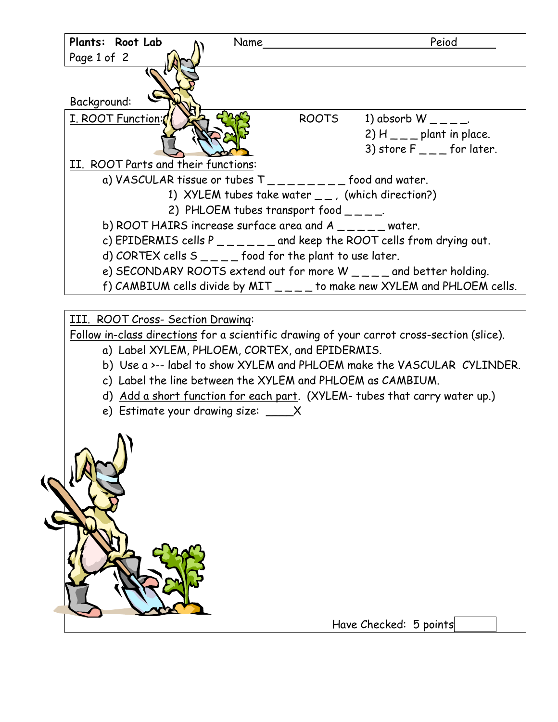

III. ROOT Cross- Section Drawing:

Follow in-class directions for a scientific drawing of your carrot cross-section (slice).

- a) Label XYLEM, PHLOEM, CORTEX, and EPIDERMIS.
- b) Use a >-- label to show XYLEM and PHLOEM make the VASCULAR CYLINDER.
- c) Label the line between the XYLEM and PHLOEM as CAMBIUM.
- d) Add a short function for each part. (XYLEM- tubes that carry water up.)
- e) Estimate your drawing size: \_\_\_\_X

Have Checked: 5 points